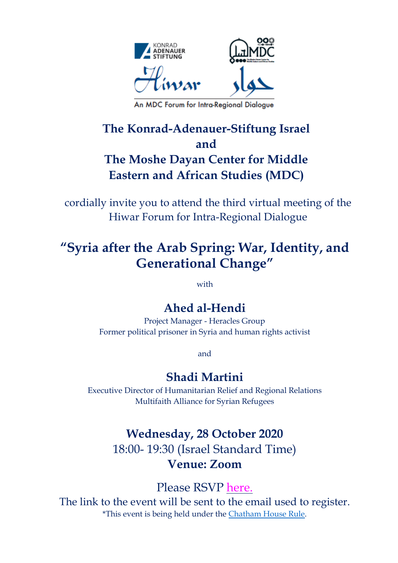

An MDC Forum for Intra-Regional Dialogue

## **The Konrad-Adenauer-Stiftung Israel and The Moshe Dayan Center for Middle Eastern and African Studies (MDC)**

cordially invite you to attend the third virtual meeting of the Hiwar Forum for Intra-Regional Dialogue

# **"Syria after the Arab Spring: War, Identity, and Generational Change"**

with

### **Ahed al-Hendi**

Project Manager - Heracles Group Former political prisoner in Syria and human rights activist

and

### **Shadi Martini**

Executive Director of Humanitarian Relief and Regional Relations Multifaith Alliance for Syrian Refugees

## **Wednesday, 28 October 2020**  18:00- 19:30 (Israel Standard Time) **Venue: Zoom**

Please RSVP [here.](https://us02web.zoom.us/webinar/register/WN_xzuCmWblScW_i9QIzmBLqw)

The link to the event will be sent to the email used to register. \*This event is being held under the [Chatham](https://www.chathamhouse.org/chatham-house-rule) House Rule.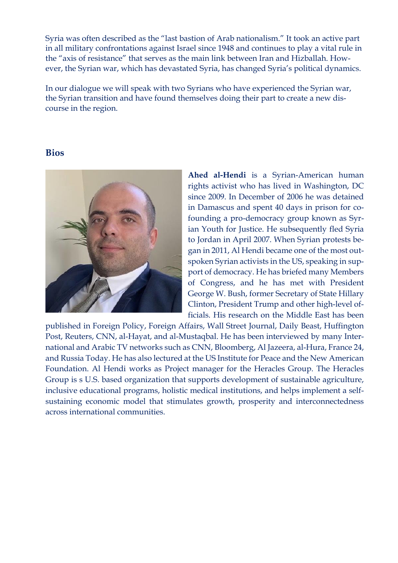Syria was often described as the "last bastion of Arab nationalism." It took an active part in all military confrontations against Israel since 1948 and continues to play a vital rule in the "axis of resistance" that serves as the main link between Iran and Hizballah. However, the Syrian war, which has devastated Syria, has changed Syria's political dynamics.

In our dialogue we will speak with two Syrians who have experienced the Syrian war, the Syrian transition and have found themselves doing their part to create a new discourse in the region.

#### **Bios**



**Ahed al-Hendi** is a Syrian-American human rights activist who has lived in Washington, DC since 2009. In December of 2006 he was detained in Damascus and spent 40 days in prison for cofounding a pro-democracy group known as Syrian Youth for Justice. He subsequently fled Syria to Jordan in April 2007. When Syrian protests began in 2011, Al Hendi became one of the most outspoken Syrian activists in the US, speaking in support of democracy. He has briefed many Members of Congress, and he has met with President George W. Bush, former Secretary of State Hillary Clinton, President Trump and other high-level officials. His research on the Middle East has been

published in Foreign Policy, Foreign Affairs, Wall Street Journal, Daily Beast, Huffington Post, Reuters, CNN, al-Hayat, and al-Mustaqbal. He has been interviewed by many International and Arabic TV networks such as CNN, Bloomberg, Al Jazeera, al-Hura, France 24, and Russia Today. He has also lectured at the US Institute for Peace and the New American Foundation. Al Hendi works as Project manager for the Heracles Group. The Heracles Group is s U.S. based organization that supports development of sustainable agriculture, inclusive educational programs, holistic medical institutions, and helps implement a selfsustaining economic model that stimulates growth, prosperity and interconnectedness across international communities.